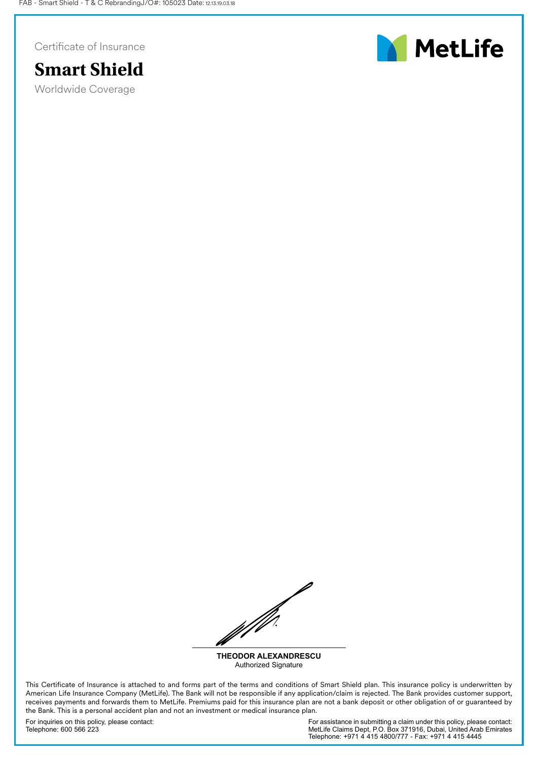Certificate of Insurance



Worldwide Coverage



WW

**THEODOR ALEXANDRESCU** Authorized Signature

This Certificate of Insurance is attached to and forms part of the terms and conditions of Smart Shield plan. This insurance policy is underwritten by American Life Insurance Company (MetLife). The Bank will not be responsible if any application/claim is rejected. The Bank provides customer support, receives payments and forwards them to MetLife. Premiums paid for this insurance plan are not a bank deposit or other obligation of or guaranteed by the Bank. This is a personal accident plan and not an investment or medical insurance plan.

For inquiries on this policy, please contact: Telephone: 600 566 223

For assistance in submitting a claim under this policy, please contact: MetLife Claims Dept, P.O. Box 371916, Dubai, United Arab Emirates Telephone: +971 4 415 4800/777 - Fax: +971 4 415 4445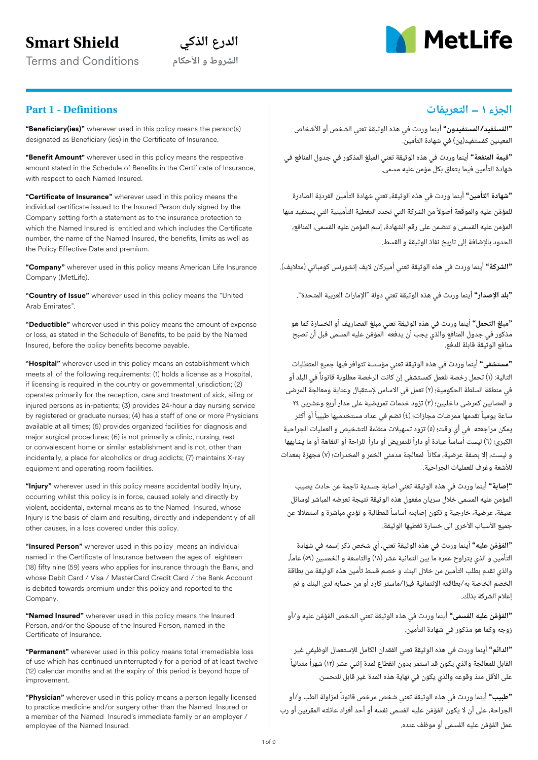# **Smart Shield**

**الشروط و األحكام** Conditions and Terms

# **الدرع الذكي**



# **الجزء 1 – التعريفات Definitions - 1 Part**

**"Beneficiary(ies)"** wherever used in this policy means the person(s) designated as Beneficiary (ies) in the Certificate of Insurance.

**"Benefit Amount"** wherever used in this policy means the respective amount stated in the Schedule of Benefits in the Certificate of Insurance, with respect to each Named Insured.

**"Certificate of Insurance"** wherever used in this policy means the individual certificate issued to the Insured Person duly signed by the Company setting forth a statement as to the insurance protection to which the Named Insured is entitled and which includes the Certificate number, the name of the Named Insured, the benefits, limits as well as the Policy Effective Date and premium.

**"Company"** wherever used in this policy means American Life Insurance Company (MetLife).

**"Country of Issue"** wherever used in this policy means the "United Arab Emirates".

**"Deductible"** wherever used in this policy means the amount of expense or loss, as stated in the Schedule of Benefits, to be paid by the Named Insured, before the policy benefits become payable.

**"Hospital"** wherever used in this policy means an establishment which meets all of the following requirements: (1) holds a license as a Hospital, if licensing is required in the country or governmental jurisdiction; (2) operates primarily for the reception, care and treatment of sick, ailing or injured persons as in-patients; (3) provides 24-hour a day nursing service by registered or graduate nurses; (4) has a staff of one or more Physicians available at all times; (5) provides organized facilities for diagnosis and major surgical procedures; (6) is not primarily a clinic, nursing, rest or convalescent home or similar establishment and is not, other than incidentally, a place for alcoholics or drug addicts; (7) maintains X-ray equipment and operating room facilities.

**"Injury"** wherever used in this policy means accidental bodily Injury, occurring whilst this policy is in force, caused solely and directly by violent, accidental, external means as to the Named Insured, whose Injury is the basis of claim and resulting, directly and independently of all other causes, in a loss covered under this policy.

**"Insured Person"** wherever used in this policy means an individual named in the Certificate of Insurance between the ages of eighteen (18) fifty nine (59) years who applies for insurance through the Bank, and whose Debit Card / Visa / MasterCard Credit Card / the Bank Account is debited towards premium under this policy and reported to the Company.

**"Named Insured"** wherever used in this policy means the Insured Person, and/or the Spouse of the Insured Person, named in the Certificate of Insurance.

**"Permanent"** wherever used in this policy means total irremediable loss of use which has continued uninterruptedly for a period of at least twelve (12) calendar months and at the expiry of this period is beyond hope of improvement.

**"Physician"** wherever used in this policy means a person legally licensed to practice medicine and/or surgery other than the Named Insured or a member of the Named Insured's immediate family or an employer / employee of the Named Insured.

**"المستفيد/المستفيدون"** أينما وردت في هذه الوثيقة تعني الشخص أو األشخاص **َ ُ** المعينين كمستفيد(ين) في شهادة التأمين. َ ُ

**"قيمة المنفعة"** أينما وردت في هذه الوثيقة تعني المبلغ المذكور في جدول المنافع في شهادة التأمين فيما يتعلق بكل مؤمن عليه مسمى.

**"شهادة التأمين"** أينما وردت في هذه الوثيقة، تعني شهادة التأمين الفردية الصادرة للمؤمّن عليه والموقّعة أصولاً من الشركة التي تحدد التغطية التأمينية التي يستفيد منها المؤمن عليه المسمى و تتضمن على رقم الشهادة، إسم المؤمن عليه المسمى، المنافع، ُ ُ الحدود بالإضافة إلى تاريخ نفاذ الوثيقة و القسط. ّ

**"الشركة"** أينما وردت في هذه الوثيقة تعني أميركان اليف إنشورنس كومباني (متاليف).

**"بلد اإلصدار"** أينما وردت في هذه الوثيقة تعني دولة "اإلمارات العربية المتحدة".

**"مبلغ التحمل"** أينما وردت في هذه الوثيقة تعني مبلغ المصاريف أو الخسارة كما هو مذكور في جدول المنافع والذي يجب أن يدفعه المؤمن عليه المسمى قبل أن تصبح منافع الوثيقة قابلة للدفع. ِّ

**"مستشفى"** أينما وردت في هذه الوثيقة تعني مؤسسة تتوافر فيها جميع المتطلبات التالية: (1) تحمل رخصة للعمل كمستشفى إن كانت الرخصة مطلوبة قانونا في البلد أو في منطقة السلطة الحكومية؛ (2) تعمل في االساس إلستقبال وعناية ومعالجة المرضى و المصابين كمرضى داخليين؛ (3) تزود خدمات تمريضية على مدار أربع وعشرين 24 ساعة يومياً تقدمها ممرضات مجازات؛ (٤) تضم في عداد مستخدميها طبيباً أو أكثر يمكن مراجعته في أي وقت؛ (5) تزود تسهيالت منظمة للتشخيص و العمليات الجراحية الكبرى؛ (٦) ليست أساساً عيادة أو داراً للتمريض أو داراً للراحة أو النقاهة أو ما يشابهها و ليست، إال بصفة عرضية، مكانا لمعالجة مدمني الخمر و المخدرات؛ (7) مجهزة بمعدات لألشعة وغرف للعمليات الجراحية. ًَ ً

**"إصابة"** ينما وردت في هذه الوثيقة تعني اصابة جسدية ناجمة عن حادث يصيب أ المؤمن عليه المسمى خالل سريان مفعول هذه الوثيقة نتيجة تعرضه المباشر لوسائل عنيفة، عرضية، خارجية و تكون إصابته أساسا للمطالبة و تؤدي مباشرة و استقالال عن جميع الأسباب الأخرى الى خسارة تغطيها الوثيقة. ً

**"المؤمن عليه"** أينما وردت في هذه الوثيقة تعني، أي شخص ذكر إسمه في شهادة **َّ ُ** التأمين و الذي يتراوح عمره ما بين الثمانية عشر (18) والتاسعة و الخمسين (59) عاما، والذي تقدم بطلب التأمين من خالل البنك و خصم قسط تأمين هذه الوثيقة من بطاقة الخصم الخاصة به/بطاقته اإلئتمانية فيزا/ماستر كارد أو من حسابه لدى البنك و تم إعالم الشركة بذلك. ً

**"المؤمن عليه المسمى"** أينما وردت في هذه الوثيقة تعني الشخص المؤمن عليه و/أو َّ ُ **ُ َّ ُ** زوجه وكما هو مذكور في شهادة التأمين.

**"الدائم"** أينما وردت في هذه الوثيقة تعني الفقدان الكامل لإلستعمال الوظيفي غير القابل للمعالجة والذي يكون قد استمر بدون انقطاع لمدة إثني عشر (12) شهرا متتاليا ً ً على الأقل منذ وقوعه والذى يكون فى نهاية هذه المدة غير قابل للتحسن.

ً الجراحة، على أن لا يكون المُؤمَّن عليه المُسمى نفسه أو أحد أفراد عائلته المقربين أو رب عمل المُؤمَّن عليه المُسمى او موظف عنده. أينما وردت في هذه الوثيقة تعني شخص مرخص قانونا لمزاولة الطب و/أو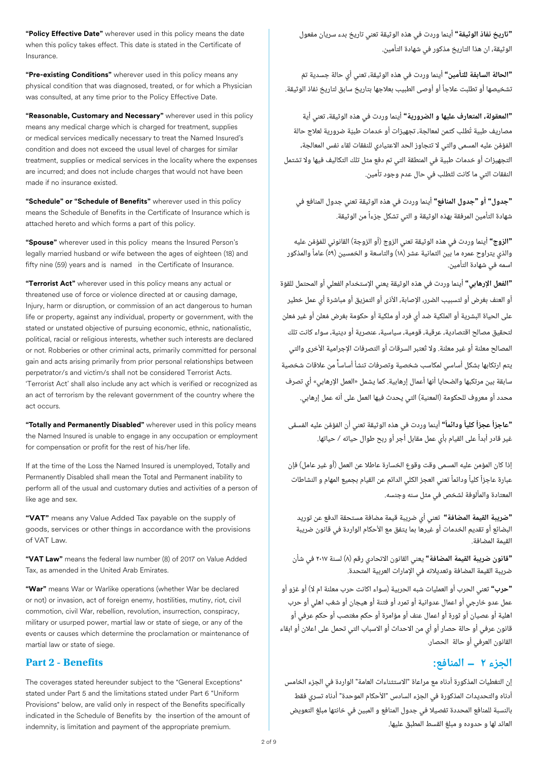**"Policy Effective Date"** wherever used in this policy means the date when this policy takes effect. This date is stated in the Certificate of Insurance.

**"Pre-existing Conditions"** wherever used in this policy means any physical condition that was diagnosed, treated, or for which a Physician was consulted, at any time prior to the Policy Effective Date.

**"Reasonable, Customary and Necessary"** wherever used in this policy means any medical charge which is charged for treatment, supplies or medical services medically necessary to treat the Named Insured's condition and does not exceed the usual level of charges for similar treatment, supplies or medical services in the locality where the expenses are incurred; and does not include charges that would not have been made if no insurance existed.

**"Schedule" or "Schedule of Benefits"** wherever used in this policy means the Schedule of Benefits in the Certificate of Insurance which is attached hereto and which forms a part of this policy.

**"Spouse"** wherever used in this policy means the Insured Person's legally married husband or wife between the ages of eighteen (18) and fifty nine (59) years and is named in the Certificate of Insurance.

**"Terrorist Act"** wherever used in this policy means any actual or threatened use of force or violence directed at or causing damage, Injury, harm or disruption, or commission of an act dangerous to human life or property, against any individual, property or government, with the stated or unstated objective of pursuing economic, ethnic, nationalistic, political, racial or religious interests, whether such interests are declared or not. Robberies or other criminal acts, primarily committed for personal gain and acts arising primarily from prior personal relationships between perpetrator/s and victim/s shall not be considered Terrorist Acts. 'Terrorist Act' shall also include any act which is verified or recognized as an act of terrorism by the relevant government of the country where the act occurs.

**"Totally and Permanently Disabled"** wherever used in this policy means the Named Insured is unable to engage in any occupation or employment for compensation or profit for the rest of his/her life.

If at the time of the Loss the Named Insured is unemployed, Totally and Permanently Disabled shall mean the Total and Permanent inability to perform all of the usual and customary duties and activities of a person of like age and sex.

**"VAT"** means any Value Added Tax payable on the supply of goods, services or other things in accordance with the provisions of VAT Law.

**"VAT Law"** means the federal law number (8) of 2017 on Value Added Tax, as amended in the United Arab Emirates.

**"War"** means War or Warlike operations (whether War be declared or not) or invasion, act of foreign enemy, hostilities, mutiny, riot, civil commotion, civil War, rebellion, revolution, insurrection, conspiracy, military or usurped power, martial law or state of siege, or any of the events or causes which determine the proclamation or maintenance of martial law or state of siege.

## **Part 2 - Benefits**

The coverages stated hereunder subject to the "General Exceptions" stated under Part 5 and the limitations stated under Part 6 "Uniform Provisions" below, are valid only in respect of the Benefits specifically indicated in the Schedule of Benefits by the insertion of the amount of indemnity, is limitation and payment of the appropriate premium.

**"تاريخ نفاذ الوثيقة"** أينما وردت في هذه الوثيقة تعني تاريخ بدء سريان مفعول الوثيقة، ان هذا التاريخ مذكور في شهادة التأمين.

**"الحالة السابقة للتأمين"** أينما وردت في هذه الوثيقة، تعني أي حالة جسدية تم تشخيصها أو تطلبت عالجا أو أوصى الطبيب بعالجها بتاريخ سابق لتاريخ نفاذ الوثيقة. أ ً

**"المعقولة، المتعارف عليها و الضرورية"** أينما وردت في هذه الوثيقة، تعني أية مصاريف طبية تطلب كثمن لمعالجة، تجهيزات أو خدمات طبية ضرورية لعالج حالة ّ ُ المُؤمَّن عليه المسمى والتي لا تتجاوز الحد الاعتيادي للنفقات لقاء نفس المعالجة، التجهيزات أو خدمات طبية في المنطقة التي تم دفع مثل تلك التكاليف فيها وال تشتمل النفقات التي ما كانت لتطلب في حال عدم وجود تأمين. ٔ,

**"جدول" أو "جدول المنافع"** أينما وردت في هذه الوثيقة تعني جدول المنافع في شهادة التأمين المرفقة بهذه الوثيقة و التي تشكل جزءا من الوثيقة. ً

**"الزوج"** أينما وردت في هذه الوثيقة تعني الزوج (أو الزوجة) القانوني للمؤمن عليه َّ ُ والذي يتراوح عمره ما بين الثمانية عشر (18) والتاسعة و الخمسين (59) عاما والمذكور اسمه في شهادة التأمين. ً

**"الفعل اإلرهابي"** أينما وردت في هذه الوثيقة يعني اإلستخدام الفعلي أو المحتمل للقوة أو العنف بغرض أو لتسبيب الضرر، اإلصابة، األذى أو التمزيق أو مباشرة أي عمل خطير على الحياة البشرية او الملكية ضد اي فرد او ملكية او حكومة بغرض مُعلن او غير مُعلن لتحقيق مصالح اقتصادية، عرقية، قومية، سياسية، عنصرية أو دينية، سواء كانت تلك المصالح معلنة أو غير معلنة. ولا تُعتبر السرقات أو التصرفات الإجرامية الأخرى والتى يتم ارتكابها بشكل أساسي لمكاسب شخصية وتصرفات تنشأ أساسا من عالقات شخصية سابقة بين مرتكبها والضحايا أنها أعمال إرهابية. كما يشمل »العمل اإلرهابي« أي تصرف محدد أو معروف للحكومة (المعنية) التي يحدث فيها العمل على أنه عمل إرهابي. ֧֧֧֪֖֚֚֚֚֚֡֟֓֕֓֕֓֕֓֕֓֕֓֝֬֝֬֝֬֝֬**֞** ُ ֧֖֖֖֖֖֖֖֖֖֚֚֚֚֚֚֚֚֚֚֚֚֚֚֝֟֓֬**֓** ً

**"عاجزاً عجزاً كلياً ودائماً"** أينما وردت في هذه الوثيقة تعني أن المُؤمَّن عليه المُسمَّى غير قادر أبدا على القيام بأي عمل مقابل أجر أو ربح طوال حياته / حياتها. ً

إذا كان المؤمن عليه المسمى وقت وقوع الخسارة عاطال عن العمل (أو غير عامل) فإن عبارة عاجزاً كلياً ودائماً تعني العجز الكلي الدائم عن القيام بجميع المهام و النشاطات المعتادة والمألوفة لشخص في مثل سنه وجنسه.

**"ضريبة القيمة المضافة"** تعني أي ضريبة قيمة مضافة مستحقة الدفع عن توريد البضائع أو تقديم الخدمات أو غيرها بما يتفق مع األحكام الواردة في قانون ضريبة القيمة المضافة.

**"قانون ضريبة القيمة المضافة"** يعني القانون االتحادي رقم (8) لسنة 2017 في شأن ضريبة القيمة المضافة وتعديالته في اإلمارات العربية المتحدة.

**"حرب"** تعني الحرب أو العمليات شبه الحربية (سواء اكانت حرب معلنة ام ال) أو غزو أو عمل عدو خارجي أو اعمال عدوانية أو تمرد أو فتنة أو هيجان أو شغب اهلي أو حرب اهلية أو عصيان أو ثورة أو اعمال عنف أو مؤامرة أو حكم مغتصب أو حكم عرفي أو قانون عرفي أو حالة حصار أو أي من االحداث أو االسباب التي تحمل على اعالن أو ابقاء القانون العرفي أو حالة الحصار.

# **الجزء 2 – المنافع:**

إن التغطيات المذكورة أدناه مع مراعاة "االستثناءات العامة" الواردة في الجزء الخامس أدناه والتحديدات المذكورة في الجزء السادس "األحكام الموحدة" أدناه تسري فقط بالنسبة للمنافع المحددة تفصيال في جدول المنافع و المبين في خانتها مبلغ التعويض العائد لها و حدوده و مبلغ القسط المطبق عليها.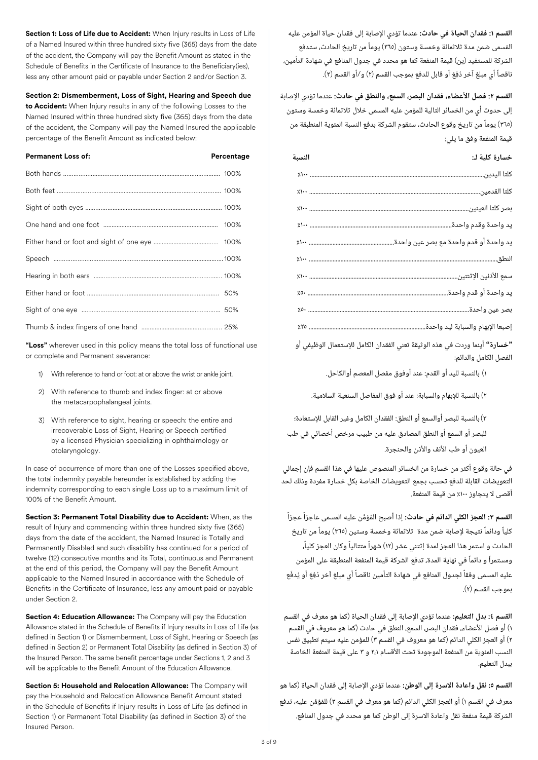**القسم :1 فقدان الحياة في حادث:** عندما تؤدي اإلصابة إلى فقدان حياة المؤمن عليه المُسمى ضمن مدة ثلاثمائة وخمسة وستون (٣٦٥) يوماً من تاريخ الحادث، ستدفع الشركة للمستفيد (ين) قيمة المنفعة كما هو محدد في جدول المنافع في شهادة التأمين، ناقصاً أي مبلغ آخر دُفِعَ أو قابل للدفع بموجب القسم (٢) و/أو القسم (٣).

**القسم :2 فصل األعضاء، فقدان البصر، السمع، والنطق في حادث:** عندما تؤدي اإلصابة إلى حدوث أي من الخسائر التالية للمؤمن عليه المسمى خالل ثالثمائة وخمسة وستون (365) يوما من تاريخ وقوع الحادث، ستقوم الشركة بدفع النسبة المئوية المنطبقة من قيمة المنفعة وفق ما يلي: ً

| خسارة كلية لـ:<br>النسبة                                                                                                                                                                                                                |  |
|-----------------------------------------------------------------------------------------------------------------------------------------------------------------------------------------------------------------------------------------|--|
|                                                                                                                                                                                                                                         |  |
|                                                                                                                                                                                                                                         |  |
|                                                                                                                                                                                                                                         |  |
|                                                                                                                                                                                                                                         |  |
|                                                                                                                                                                                                                                         |  |
|                                                                                                                                                                                                                                         |  |
|                                                                                                                                                                                                                                         |  |
|                                                                                                                                                                                                                                         |  |
|                                                                                                                                                                                                                                         |  |
| إصبعا الإبهام والسبابة ليد واحدة.                                                                                                                                                                                                       |  |
| $\bullet$ . The contract of the contract of the contract of the contract of the contract of the contract of the contract of the contract of the contract of the contract of the contract of the contract of the contract of the co<br>. |  |

**"خسارة"** أينما وردت في هذه الوثيقة تعني الفقدان الكامل لإلستعمال الوظيفي أو الفصل الكامل والدائم:

1) بالنسبة لليد أو القدم: عند أوفوق مفصل المعصم أوالكاحل.

2) بالنسبة لإلبهام والسبابة: عند أو فوق المفاصل السنعية السالمية.

3)بالنسبة للبصر أوالسمع أو النطق: الفقدان الكامل وغير القابل لإلستعادة؛ للبصر أو السمع أو النطق المصادق عليه من طبيب مرخص أخصائي في طب العيون أو طب الأنف والأذن والحنجرة.

في حالة وقوع أكثر من خسارة من الخسائر المنصوص عليها في هذا القسم فإن إجمالي التعويضات القابلة للدفع تحسب بجمع التعويضات الخاصة بكل خسارة مفردة وذلك لحد أقصى لا يتجاوز ١٠٠٪ من قيمة المنفعة.

**القسم ٣: العجز الكلي الدائم في حادث:** إذا أصبح الفؤمَّن عليه المسمى عاجزاً عجزاً كلياً ودائماً نتيجة لإصابة ضمن مدة ثلاثمائة وخمسة وستين (٣٦٥) يوماً من تاريخ الحادث و استمر هذا العجز لمدة إثتني عشر (١٢) شهراً متتالياً وكان العجز كلياً، ومستمراً و دائماً في نهاية المدة، تدفع الشركة قيمة المنفعة المنطبقة على المؤمن عليه المسمى وفقاً لجدول المنافع في شهادة التأمين ناقصاً أي مبلغ آخر دُفِعَ أو يُدفَع بموجب القسم (2).

**القسم :٤ بدل التعليم:** عندما تؤدي اإلصابة إلى فقدان الحياة (كما هو معرف في القسم ١) أو فصل الأعضاء، فقدان البصر، السمع، النطق في حادث (كما هو معروف في القسم 2) أو العجز الكلي الدائم (كما هو معروف في القسم 3) للمؤمن عليه سيتم تطبيق نفس النسب المئوية من المنفعة الموجودة تحت األقسام 2،1 و 3 على قيمة المنفعة الخاصة ببدل التعليم.

**القسم ٥: نقل واعادة الاسرة إلى الوطن:** عندما تؤدي الإصابة إلى فقدان الحياة (كما هو َّ ُ معرف في القسم 1) أو العجز الكلي الدائم (كما هو معرف في القسم 3) للمؤمن عليه، تدفع الشركة قيمة منفعة نقل واعادة االسرة إلى الوطن كما هو محدد في جدول المنافع.

**Section 1: Loss of Life due to Accident:** When Injury results in Loss of Life of a Named Insured within three hundred sixty five (365) days from the date of the accident, the Company will pay the Benefit Amount as stated in the Schedule of Benefits in the Certificate of Insurance to the Beneficiary(ies), less any other amount paid or payable under Section 2 and/or Section 3.

**Section 2: Dismemberment, Loss of Sight, Hearing and Speech due to Accident:** When Injury results in any of the following Losses to the Named Insured within three hundred sixty five (365) days from the date of the accident, the Company will pay the Named Insured the applicable percentage of the Benefit Amount as indicated below:

| <b>Permanent Loss of:</b> | Percentage |
|---------------------------|------------|
|                           |            |
|                           |            |
|                           |            |
|                           |            |
|                           |            |
|                           |            |
|                           |            |
|                           |            |
|                           |            |
|                           |            |

**"Loss"** wherever used in this policy means the total loss of functional use or complete and Permanent severance:

- 1) With reference to hand or foot: at or above the wrist or ankle joint.
- 2) With reference to thumb and index finger: at or above the metacarpophalangeal joints.
- 3) With reference to sight, hearing or speech: the entire and irrecoverable Loss of Sight, Hearing or Speech certified by a licensed Physician specializing in ophthalmology or otolaryngology.

In case of occurrence of more than one of the Losses specified above, the total indemnity payable hereunder is established by adding the indemnity corresponding to each single Loss up to a maximum limit of 100% of the Benefit Amount.

**Section 3: Permanent Total Disability due to Accident:** When, as the result of Injury and commencing within three hundred sixty five (365) days from the date of the accident, the Named Insured is Totally and Permanently Disabled and such disability has continued for a period of twelve (12) consecutive months and its Total, continuous and Permanent at the end of this period, the Company will pay the Benefit Amount applicable to the Named Insured in accordance with the Schedule of Benefits in the Certificate of Insurance, less any amount paid or payable under Section 2.

**Section 4: Education Allowance:** The Company will pay the Education Allowance stated in the Schedule of Benefits if Injury results in Loss of Life (as defined in Section 1) or Dismemberment, Loss of Sight, Hearing or Speech (as defined in Section 2) or Permanent Total Disability (as defined in Section 3) of the Insured Person. The same benefit percentage under Sections 1, 2 and 3 will be applicable to the Benefit Amount of the Education Allowance.

**Section 5: Household and Relocation Allowance:** The Company will pay the Household and Relocation Allowance Benefit Amount stated in the Schedule of Benefits if Injury results in Loss of Life (as defined in Section 1) or Permanent Total Disability (as defined in Section 3) of the Insured Person.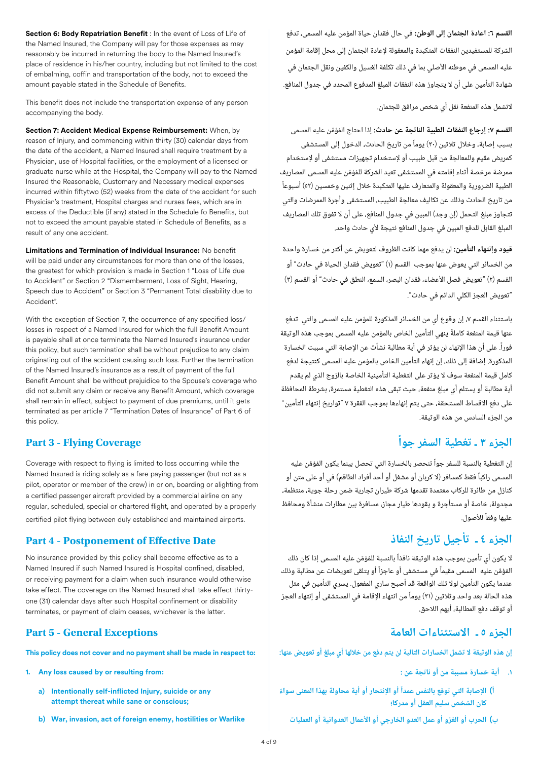**Section 6: Body Repatriation Benefit** : In the event of Loss of Life of the Named Insured, the Company will pay for those expenses as may reasonably be incurred in returning the body to the Named Insured's place of residence in his/her country, including but not limited to the cost of embalming, coffin and transportation of the body, not to exceed the amount payable stated in the Schedule of Benefits.

This benefit does not include the transportation expense of any person accompanying the body.

**Section 7: Accident Medical Expense Reimbursement:** When, by reason of Injury, and commencing within thirty (30) calendar days from the date of the accident, a Named Insured shall require treatment by a Physician, use of Hospital facilities, or the employment of a licensed or graduate nurse while at the Hospital, the Company will pay to the Named Insured the Reasonable, Customary and Necessary medical expenses incurred within fiftytwo (52) weeks from the date of the accident for such Physician's treatment, Hospital charges and nurses fees, which are in excess of the Deductible (if any) stated in the Schedule fo Benefits, but not to exceed the amount payable stated in Schedule of Benefits, as a result of any one accident.

**Limitations and Termination of Individual Insurance:** No benefit will be paid under any circumstances for more than one of the losses, the greatest for which provision is made in Section 1 "Loss of Life due to Accident" or Section 2 "Dismemberment, Loss of Sight, Hearing, Speech due to Accident" or Section 3 "Permanent Total disability due to Accident".

With the exception of Section 7, the occurrence of any specified loss/ losses in respect of a Named Insured for which the full Benefit Amount is payable shall at once terminate the Named Insured's insurance under this policy, but such termination shall be without prejudice to any claim originating out of the accident causing such loss. Further the termination of the Named Insured's insurance as a result of payment of the full Benefit Amount shall be without prejuidice to the Spouse's coverage who did not submit any claim or receive any Benefit Amount, which coverage shall remain in effect, subject to payment of due premiums, until it gets terminated as per article 7 "Termination Dates of Insurance" of Part 6 of this policy.

Coverage with respect to flying is limited to loss occurring while the Named Insured is riding solely as a fare paying passenger (but not as a pilot, operator or member of the crew) in or on, boarding or alighting from a certified passenger aircraft provided by a commercial airline on any regular, scheduled, special or chartered flight, and operated by a properly certified pilot flying between duly established and maintained airports.

# **الجزء ٤ ـ تأجيل تاريخ النفاذ Date Effective of Postponement - 4 Part**

No insurance provided by this policy shall become effective as to a Named Insured if such Named Insured is Hospital confined, disabled, or receiving payment for a claim when such insurance would otherwise take effect. The coverage on the Named Insured shall take effect thirtyone (31) calendar days after such Hospital confinement or disability terminates, or payment of claim ceases, whichever is the latter.

# **Part 5 - General Exceptions**

**This policy does not cover and no payment shall be made in respect to:** 

- **1. Any loss caused by or resulting from:**
	- **a) Intentionally self-inflicted Injury, suicide or any attempt thereat while sane or conscious;**
	- **b) War, invasion, act of foreign enemy, hostilities or Warlike**

**القسم :٦ اعادة الجثمان إلى الوطن:** في حال فقدان حياة المؤمن عليه المسمى، تدفع الشركة للمستفيدين النفقات المتكبدة والمعقولة إلعادة الجثمان إلى محل إقامة المؤمن عليه المسمى في موطنه األصلي بما في ذلك تكلفة الغسيل والكفين ونقل الجثمان في شهادة التأمين على أن ال يتجاوز هذه النفقات المبلغ المدفوع المحدد في جدول المنافع.

التشمل هذه المنفعة نقل أي شخص مرافق للجثمان.

**القسم ٧: إرجاع النفقات الطبية الناتجة عن حادث:** إذا احتاج المُؤمَّن عليه المسمى بسبب إصابة، وخالل ثالثين (30) يوما من تاريخ الحادث، الدخول إلى المستشفى كمريض مقيم وللمعالجة من قبل طبيب أو إلستخدام تجهيزات مستشفى أو إلستخدام ممرضة مرخصة اثناء إقامته في المستشفى تعيد الشركة للمُؤمَّن عليه المسمى المصاريف الطبية الضرورية والمعقولة والمتعارف عليها المتكبدة خالل إثنين وخمسين (52) أسبوعا من تاريخ الحادث وذلك عن تكاليف معالجة الطبيب، المستشفى وأجرة الممرضات والتي تتجاوز مبلغ التحمل (إن وجد) المبين في جدول المنافع، على أن ال تفوق تلك المصاريف المبلغ القابل للدفع المبين في جدول المنافع نتيجة لأي حادث واحد. ً ً

**قيود وإنتهاء التأمين:** لن يدفع مهما كانت الظروف لتعويض عن أكثر من خسارة واحدة من الخسائر التي يعوض عنها بموجب القسم (1) "تعويض فقدان الحياة في حادث" أو القسم (٢) "تعويض فصل الأعضاء، فقدان البصر، السمع، النطق في حادث" أو القسم (٣) "تعويض العجز الكلي الدائم في حادث".

باستثناء القسم ،7 إن وقوع أي من الخسائر المذكورة للمؤمن عليه المسمى والتي تدفع عنها قيمة المنفعة كاملة ينهي التأمين الخاص بالمؤمن عليه المسمى بموجب هذه الوثيقة فوراً. على أن هذا الإنهاء لن يؤثر في أية مطالبة نشأت عن الإصابة التي سببت الخسارة المذكورة. إضافة إلى ذلك، إن إنهاء التأمين الخاص بالمؤمن عليه المسمى كنتيجة لدفع كامل قيمة المنفعة سوف ال يؤثر على التغطية التأمينية الخاصة بالزوج الذي لم يقدم أية مطالبة أو يستلم أي مبلغ منفعة، حيث تبقى هذه التغطية مستمرة، بشرطة المحافظة على دفع االقساط المستحقة، حتى يتم إنهاءها بموجب الفقرة 7 "تواريخ إنتهاء التأمين" من الجزء السادس من هذه الوثيقة. ׇ֧֖֧֖֖֚֚֚֚֚֚֝<br>֧֪֪֪֝<u>֚</u> ً

# **الجزء 3 ـ تغطية السفر جوا Coverage Flying - 3 Part**

إن التغطية بالنسبة للسفر جواً تنحصر بالخسارة التي تحصل بينما يكون المُؤمَّن عليه المسمى راكبا فقط كمسافر (ال كربان أو مشغل أو أحد أفراد الطاقم) في أو على متن أو كنازل من طائرة للركاب معتمدة تقدمها شركة طيران تجارية ضمن رحلة جوية، منتظمة، مجدولة، خاصة أو مستأجرة و يقودها طيار مجاز، مسافرة بين مطارات منشأة ومحافظ عليها وفقا لألصول. ً ً

لا يكون أي تأمين بموجب هذه الوثيقة نافذاً بالنسبة للمُؤمَّن عليه المسمى إذا كان ذلك المُؤمَّن عليه المسمى مقيماً في مستشفى أو عاجزاً أو يتلقى تعويضات عن مطالبة وذلك عندما يكون التأمين لوال تلك الواقعة قد أصبح ساري المفعول. يسري التأمين في مثل هذه الحالة بعد واحد وثالثين (31) يوما من انتهاء اإلقامة في المستشفى أو إنتهاء العجز أو توقف دفع المطالبة، أيهم الالحق. ً

# **الجزء ٥ ـ االستثناءات العامة**

**إن هذه الوثيقة ال تشمل الخسارات التالية لن يتم دفع من خاللها أي مبلغ أو تعويض عنها:** 

- **أية خسارة مسببة من أو ناتجة عن :**
- **) اإلصابة التي توقع بالنفس عمدا أو اإلنتحار أو أية محاولة بهذا المعنى سواء ً ً كان الشخص سليم العقل أو مدركا؛**
	- **ب) الحرب أو الغزو أو عمل العدو الخارجي أو األعمال العدوانية أو العمليات**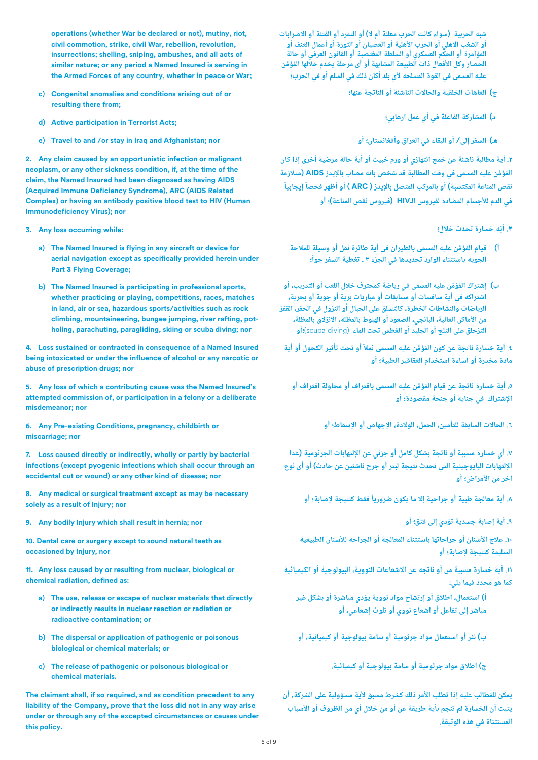**شبه الحربية (سواء كانت الحرب معلنة أم ال) أو التمرد أو الفتنة أو االضرابات أو الشغب االهلي أو الحرب األهلية أو العصيان أو الثورة أو أعمال العنف أو المؤامرة أو الحكم العسكري أو السلطة المغتصبة أو القانون العرفي أو حالة**  الحصار وكل الافعال ذات الطبيعة المشابهة أو أي مرحلة يخدم خلالها المُؤمِّن **عليه المسمى في القوة المسلحة ألي بلد أكان ذلك في السلم أو في الحرب؛**

- **ج) العاهات الخلقية والحاالت الناشئة أو الناتجة عنها؛**
	- **د) المشاركة الفاعلة في أي عمل ارهابي؛**
	- **هـ) السفر إلى/ أو البقاء في العراق وأفغانستان؛ أو**

 **.2 أية مطالبة ناشئة عن خمج انتهازي أو ورم خبيث أو أية حالة مرضية أخرى إذا كان َّ ُ المؤمن عليه المسمی في وقت المطالبة قد شخص بانه مصاب باإليدز AIDS) متالزمة ً ً نقص المناعة المكتسبة) أو بالمركب المتصل باإليدز ( ARC ( أو أظهر فحصا إيجابيا في الدم لألجسام المضادة لفيروس الـHIV) فيروس نقص المناعة)؛ أو**

- **.3 ّأية خسارة تحدث خالل؛**
- **َّ ُ ( قيام المؤمن عليه المسمى بالطيران في أية طائرة نقل أو وسيلة للمالحة ً الجوية باستثناء الوارد تحديدها في الجزء 3 ـ تغطية السفر جوا؛**
- **ب) ُ َّ إشتراك المؤمن عليه المسمى في رياضة كمحترف خالل اللعب أو التدريب، أو اشتراكه في أية منافسات أو مسابقات أو مباريات برية أو جوية أو بحرية، الرياضات والنشاطات الخطرة، كالتسلق على الجبال أو النزول في الحفر، القفز من األماكن العالية، البانجي، الصعود أو الهبوط بالمظلة، االنزالق بالمظلة، التزحلق على الثلج أو الجليد أو الغطس تحت الماء** (diving scuba(**؛أو**

**.٤ أية خسارة ناتجة عن كون ُ َّ المؤمن عليه المسمى ثمال أو تحت تأثير الكحول أو أية ً مادة مخدرة أو اساءة استخدام العقاقير الطبية؛ أو**

**.٥ أية خسارة ناتجة ُ َّ عن قيام المؤمن عليه المسمى باقتراف أو محاولة اقتراف أو اإلشتراك في جناية أو جنحة مقصودة؛ أو**

**.٦ الحاالت السابقة للتأمين، الحمل، الوالدة، اإلجهاض أو اإلسقاط؛ أو**

**.٧ أي خسارة مسببة أو ناتجة بشكل كامل أو جزئي عن اإللتهابات الجرثومية (عدا اإللتهابات البايوجينية التي تحدث نتيجة لبتر أو جرح ناشئين عن حادث) أو أي نوع آخر من األمراض؛ أو**

**.8 أية معالجة طبية أو جراحية إال ما يكون ضروريا فقط كنتيجة إلصابة؛ أو ً**

**.9 أية إصابة جسدية تؤدي إلى فتق؛ أو**

**.10 عالج األسنان أو جراحاتها باستثناء المعالجة أو الجراحة لألسنان الطبيعية السليمة كنتيجة إلصابة؛ أو**

**.11 أية خسارة مسببة من أو ناتجة عن االشعاعات النووية، البيولوجية أو الكيميائية كما هو محدد فيما يلي:**

**أ) استعمال، اطالق أو إرتشاح مواد نووية يؤدي مباشرة أو بشكل غير مباشر إلى تفاعل أو اشعاع نووي أو تلوث إشعاعي، أو**

**ب) نثر أو استعمال مواد جرثومية أو سامة بيولوجية أو كيميائية، أو** 

**ج) اطالق مواد جرثومية أو سامة بيولوجية أو كيميائية.**

**يمكن للمطالب عليه إذا تطلب األمر ذلك كشرط مسبق ألية مسؤولية على الشركة، أن يثبت أن الخسارة لم تنجم بأية طريقة عن أو من خالل أي من الظروف أو األسباب المستثناة في هذه الوثيقة. ُ**

**operations (whether War be declared or not), mutiny, riot, civil commotion, strike, civil War, rebellion, revolution, insurrections; shelling, sniping, ambushes, and all acts of similar nature; or any period a Named Insured is serving in the Armed Forces of any country, whether in peace or War;**

- **c) Congenital anomalies and conditions arising out of or resulting there from;**
- **d) Active participation in Terrorist Acts;**
- **e) Travel to and /or stay in Iraq and Afghanistan; nor**

**2. Any claim caused by an opportunistic infection or malignant neoplasm, or any other sickness condition, if, at the time of the claim, the Named Insured had been diagnosed as having AIDS (Acquired Immune Deficiency Syndrome), ARC (AIDS Related Complex) or having an antibody positive blood test to HIV (Human Immunodeficiency Virus); nor**

- **3. Any loss occurring while:** 
	- **a) The Named Insured is flying in any aircraft or device for aerial navigation except as specifically provided herein under Part 3 Flying Coverage;**
	- **b) The Named Insured is participating in professional sports, whether practicing or playing, competitions, races, matches in land, air or sea, hazardous sports/activities such as rock climbing, mountaineering, bungee jumping, river rafting, potholing, parachuting, paragliding, skiing or scuba diving; nor**

**4. Loss sustained or contracted in consequence of a Named Insured being intoxicated or under the influence of alcohol or any narcotic or abuse of prescription drugs; nor** 

**5. Any loss of which a contributing cause was the Named Insured's attempted commission of, or participation in a felony or a deliberate misdemeanor; nor**

**6. Any Pre-existing Conditions, pregnancy, childbirth or miscarriage; nor**

**7. Loss caused directly or indirectly, wholly or partly by bacterial infections (except pyogenic infections which shall occur through an accidental cut or wound) or any other kind of disease; nor**

**8. Any medical or surgical treatment except as may be necessary solely as a result of Injury; nor**

**9. Any bodily Injury which shall result in hernia; nor**

**10. Dental care or surgery except to sound natural teeth as occasioned by Injury, nor**

**11. Any loss caused by or resulting from nuclear, biological or chemical radiation, defined as:**

- **a) The use, release or escape of nuclear materials that directly or indirectly results in nuclear reaction or radiation or radioactive contamination; or**
- **b) The dispersal or application of pathogenic or poisonous biological or chemical materials; or**
- **c) The release of pathogenic or poisonous biological or chemical materials.**

**The claimant shall, if so required, and as condition precedent to any liability of the Company, prove that the loss did not in any way arise under or through any of the excepted circumstances or causes under this policy.**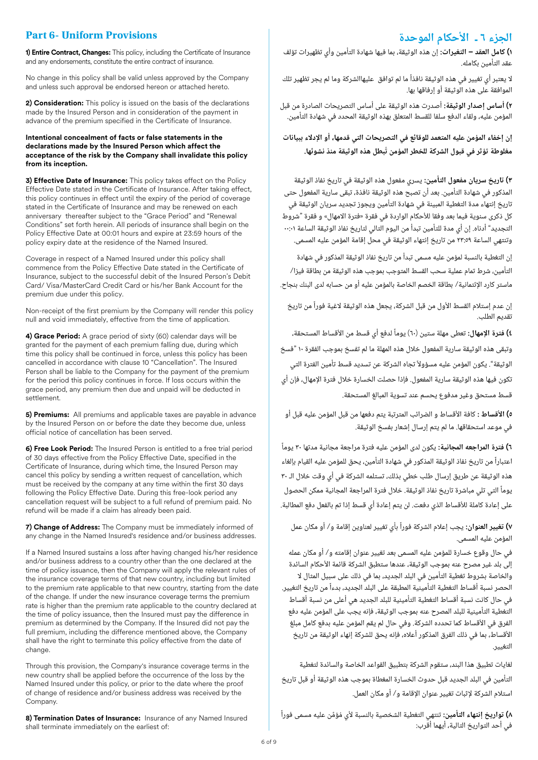# **Part 6- Uniform Provisions**

**1) Entire Contract, Changes:** This policy, including the Certificate of Insurance and any endorsements, constitute the entire contract of insurance.

No change in this policy shall be valid unless approved by the Company and unless such approval be endorsed hereon or attached hereto.

**2) Consideration:** This policy is issued on the basis of the declarations made by the Insured Person and in consideration of the payment in advance of the premium specified in the Certificate of Insurance.

### **Intentional concealment of facts or false statements in the declarations made by the Insured Person which affect the acceptance of the risk by the Company shall invalidate this policy from its inception.**

**3) Effective Date of Insurance:** This policy takes effect on the Policy Effective Date stated in the Certificate of Insurance. After taking effect, this policy continues in effect until the expiry of the period of coverage stated in the Certificate of Insurance and may be renewed on each anniversary thereafter subject to the "Grace Period" and "Renewal Conditions" set forth herein. All periods of insurance shall begin on the Policy Effective Date at 00:01 hours and expire at 23:59 hours of the policy expiry date at the residence of the Named Insured.

Coverage in respect of a Named Insured under this policy shall commence from the Policy Effective Date stated in the Certificate of Insurance, subject to the successful debit of the Insured Person's Debit Card/ Visa/MasterCard Credit Card or his/her Bank Account for the premium due under this policy.

Non-receipt of the first premium by the Company will render this policy null and void immediately, effective from the time of application.

**4) Grace Period:** A grace period of sixty (60) calendar days will be granted for the payment of each premium falling due, during which time this policy shall be continued in force, unless this policy has been cancelled in accordance with clause 10 "Cancellation". The Insured Person shall be liable to the Company for the payment of the premium for the period this policy continues in force. If loss occurs within the grace period, any premium then due and unpaid will be deducted in settlement.

**5) Premiums:** All premiums and applicable taxes are payable in advance by the Insured Person on or before the date they become due, unless official notice of cancellation has been served.

**6) Free Look Period:** The Insured Person is entitled to a free trial period of 30 days effective from the Policy Effective Date, specified in the Certificate of Insurance, during which time, the Insured Person may cancel this policy by sending a written request of cancellation, which must be received by the company at any time within the first 30 days following the Policy Effective Date. During this free-look period any cancellation request will be subject to a full refund of premium paid. No refund will be made if a claim has already been paid.

**7) Change of Address:** The Company must be immediately informed of any change in the Named Insured's residence and/or business addresses.

If a Named Insured sustains a loss after having changed his/her residence and/or business address to a country other than the one declared at the time of policy issuance, then the Company will apply the relevant rules of the insurance coverage terms of that new country, including but limited to the premium rate applicable to that new country, starting from the date of the change. If under the new insurance coverage terms the premium rate is higher than the premium rate applicable to the country declared at the time of policy issuance, then the Insured must pay the difference in premium as determined by the Company. If the Insured did not pay the full premium, including the difference mentioned above, the Company shall have the right to terminate this policy effective from the date of change.

Through this provision, the Company's insurance coverage terms in the new country shall be applied before the occurrence of the loss by the Named Insured under this policy, or prior to the date where the proof of change of residence and/or business address was received by the Company.

**8) Termination Dates of Insurance:** Insurance of any Named Insured shall terminate immediately on the earliest of:

# **الجزء ٦ ـ األحكام الموحدة**

**1) كامل العقد – التغيرات:** إن هذه الوثيقة، بما فيها شهادة التأمين وأي تظهيرات تؤلف عقد التأمين بكامله.

ال يعتبر أي تغيير في هذه الوثيقة نافذا ما لم توافق عليهاالشركة وما لم يجر تظهير تلك الموافقة على هذه الوثيقة أو إرفاقها بها. ً

**2) أساس إصدار الوثيقة:** أصدرت هذه الوثيقة على أساس التصريحات الصادرة من قبل المؤمن عليه، ولقاء الدفع سلفا للقسط المتعلق بهذه الوثيقة المحدد في شهادة التأمين.

**إن إخفاء المؤمن عليه المتعمد للوقائع في التصريحات التي قدمها، أو اإلدالء ببيانات ُ مغلوطة تؤثر في قبول الشركة للخطر المؤمن تبطل هذه الوثيقة منذ نشوئها.** 

**3) تاريخ سريان مفعول التأمين:** يسري مفعول هذه الوثيقة في تاريخ نفاذ الوثيقة المذكور في شهادة التأمين. بعد أن تصبح هذه الوثيقة نافذة، تبقى سارية المفعول حتى تاريخ إنتهاء مدة التغطية المبينة في شهادة التأمين ويجوز تجديد سريان الوثيقة في كل ذكرى سنوية فيما بعد وفقا للأحكام الواردة في فقرة «فترة الامهال» و فقرة "شروط التجديد" أدناه. إن أي مدة للتأمين تبدأ من اليوم التالي لتاريخ نفاذ الوثيقة الساعة ٠٠:٠١ وتنتهي الساعة 23:59 من تاريخ إنتهاء الوثيقة في محل إقامة المؤمن عليه المسمى.

إن التغطية بالنسبة لمؤمن عليه مسمى تبدأ من تاريخ نفاذ الوثيقة المذكور في شهادة التأمين، شرط تمام عملية سحب القسط المتوجب بموجب هذه الوثيقة من بطاقة فيزا/ ماستر كارد اإلئتمانية/ بطاقة الخصم الخاصة بالمؤمن عليه أو من حسابه لدى البنك بنجاح.

إن عدم إستالم القسط األول من قبل الشركة، يجعل هذه الوثيقة الغية فورا من تاريخ تقديم الطلب. ً

 **فترة اإلمهال:** ً **٤)** تعطى مهلة ستين (60) يوما لدفع أي قسط من األقساط المستحقة، ً وتبقى هذه الوثيقة سارية المفعول خالل هذه المهلة ما لم تفسخ بموجب الفقرة 10 "فسخ الوثيقة". يكون المؤمن عليه مسؤولاً تجاه الشركة عن تسديد قسط تأمين الفترة التى تكون فيها هذه الوثيقة سارية المفعول. فإذا حصلت الخسارة خالل فترة اإلمهال، فإن أي قسط مستحق وغير مدفوع يحسم عند تسوية المبالغ المستحقة.

**٥) األقساط :** كافة األقساط و الضرائب المترتبة يتم دفعها من قبل المؤمن عليه قبل أو في موعد استحقاقها. ما لم يتم إرسال إشعار بفسخ الوثيقة.

**٦) فترة المراجعه المجانية:** يكون لدى المؤمن عليه فترة مراجعة مجانية مدتها 30 يوما اعتبارا من تاريخ نفاذ الوثيقة المذكور في شهادة التأمين، يحق للمؤمن عليه القيام بإلغاء هذه الوثيقة عن طريق إرسال طلب خطي بذلك، تستلمه الشركة في أي وقت خالل الـ 30 يوما التي تلي مباشرة تاريخ نفاذ الوثيقة. خالل فترة المراجعة المجانية ممكن الحصول على إعادة كاملة لألقساط الذي دفعت. لن يتم إعادة أي قسط إذا تم بالفعل دفع المطالبة. ً ً

**٧) تغيير العنوان:** يجب إعالم الشركة فورا بأي تغيير لعناوين إقامة و/ أو مكان عمل ً المؤمن عليه المسمى.

في حال وقوع خسارة للمؤمن عليه المسمى بعد تغيير عنوان إقامته و/ أو مكان عمله إلى بلد غير مصرح عنه بموجب الوثيقة، عندها ستطبق الشركة قائمة األحكام السائدة والخاصة بشروط تغطية التأمين في البلد الجديد، بما في ذلك على سبيل المثال ال الحصر نسبة أقساط التغطية التأمينية المطبقة على البلد الجديد، بدءا من تاريخ التغيير. في حال كانت نسبة أقساط التغطية التأمينية للبلد الجديد هي أعلى من نسبة أقساط التغطية التأمينية للبلد المصرح عنه بموجب الوثيقة، فإنه يجب على المؤمن عليه دفع الفرق في الأقساط كما تحدده الشركة. وفي حال لم يقم المؤمن عليه بدفع كامل مبلغ األقساط، بما في ذلك الفرق المذكور أعاله، فإنه يحق للشركة إنهاء الوثيقة من تاريخ التغيير. ً

لغايات تطبيق هذا البند، ستقوم الشركة بتطبيق القواعد الخاصة والسائدة لتغطية التأمين في البلد الجديد قبل حدوث الخسارة المغطاة بموجب هذه الوثيقة أو قبل تاريخ استالم الشركة إلثبات تغيير عنوان اإلقامة و/ أو مكان العمل.

ً **8) تواريخ إنتهاء التأمين:** تنتهي التغطية الشخصية بالنسبة ُ َّ ألي مؤمن عليه مسمى فورا في أحد التواريخ التالية، أيهما أقرب: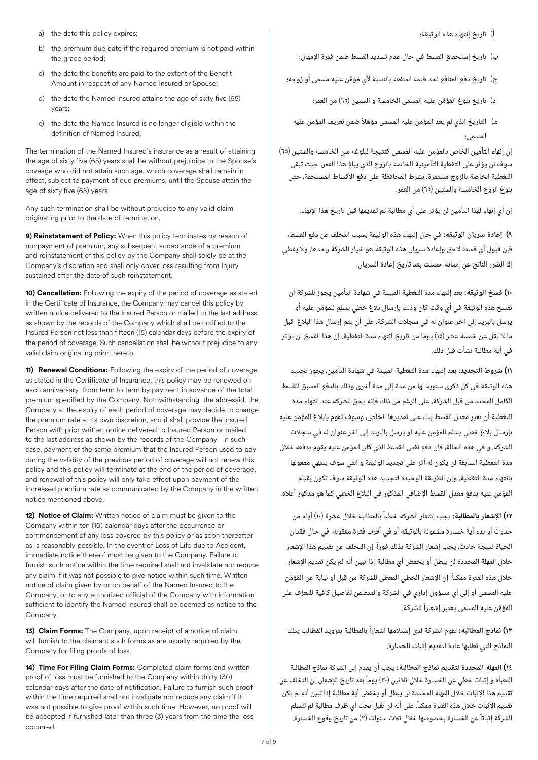- a) the date this policy expires;
- b) the premium due date if the required premium is not paid within the grace period:
- c) the date the benefits are paid to the extent of the Benefit Amount in respect of any Named Insured or Spouse;
- d) the date the Named Insured attains the age of sixty five (65) years;
- e) the date the Named Insured is no longer eligible within the definition of Named Insured;

The termination of the Named Insured's insurance as a result of attaining the age of sixty five (65) years shall be without prejuidice to the Spouse's coveage who did not attain such age, which coverage shall remain in effect, subject to payment of due premiums, until the Spouse attain the age of sixty five (65) years.

Any such termination shall be without prejudice to any valid claim originating prior to the date of termination.

**9) Reinstatement of Policy:** When this policy terminates by reason of nonpayment of premium, any subsequent acceptance of a premium and reinstatement of this policy by the Company shall solely be at the Company's discretion and shall only cover loss resulting from Injury sustained after the date of such reinstatement.

**10) Cancellation:** Following the expiry of the period of coverage as stated in the Certificate of Insurance, the Company may cancel this policy by written notice delivered to the Insured Person or mailed to the last address as shown by the records of the Company which shall be notified to the Insured Person not less than fifteen (15) calendar days before the expiry of the period of coverage. Such cancellation shall be without prejudice to any valid claim originating prior thereto.

**11) Renewal Conditions:** Following the expiry of the period of coverage as stated in the Certificate of Insurance, this policy may be renewed on each anniversary from term to term by payment in advance of the total premium specified by the Company. Nothwithstanding the aforesaid, the Company at the expiry of each period of coverage may decide to change the premium rate at its own discretion, and it shall provide the Insured Person with prior written notice delivered to Insured Person or mailed to the last address as shown by the records of the Company. In such case, payment of the same premium that the Insured Person used to pay during the validity of the previous period of coverage will not renew this policy and this policy will terminate at the end of the period of coverage, and renewal of this policy will only take effect upon payment of the increased premium rate as communicated by the Company in the written notice mentioned above.

**12) Notice of Claim:** Written notice of claim must be given to the Company within ten (10) calendar days after the occurrence or commencement of any loss covered by this policy or as soon thereafter as is reasonably possible. In the event of Loss of Life due to Accident, immediate notice thereof must be given to the Company. Failure to furnish such notice within the time required shall not invalidate nor reduce any claim if it was not possible to give notice within such time. Written notice of claim given by or on behalf of the Named Insured to the Company, or to any authorized official of the Company with information sufficient to identify the Named Insured shall be deemed as notice to the Company.

**13) Claim Forms:** The Company, upon receipt of a notice of claim, will furnish to the claimant such forms as are usually required by the Company for filing proofs of loss.

**14) Time For Filing Claim Forms:** Completed claim forms and written proof of loss must be furnished to the Company within thirty (30) calendar days after the date of notification. Failure to furnish such proof within the time required shall not invalidate nor reduce any claim if it was not possible to give proof within such time. However, no proof will be accepted if furnished later than three (3) years from the time the loss occurred.

أ) تاريخ إنتهاء هذه الوثيقة؛

- ب) تاريخ إستحقاق القسط في حال عدم تسديد القسط ضمن فترة اإلمهال؛
- ج) تاريخ دفع المنافع لحد قيمة المنفعة بالنسبة لأي مُؤمَّن عليه مسمى أو زوجه؛
	- د) ُ َّ تاريخ بلوغ المؤمن عليه المسمى الخامسة و الستين (65) من العمر؛
	- هـ) التاريخ الذي لم يعد المؤمن عليه المسمى مؤهال ضمن تعريف المؤمن عليه المسمى؛ ً

إن إنهاء التأمين الخاص بالمؤمن عليه المسمى كنتيجة لبلوغه سن الخامسة والستين (65) سوف لن يؤثر على التغطية التأمينية الخاصة بالزوج الذي يبلغ هذا العمر، حيث تبقى التغطية الخاصة بالزوج مستمرة، بشرط المحافظة على دفع األقساط المستحقة، حتى بلوغ الزوج الخامسة والستين (65) من العمر.

إن أي إنهاء لهذا التأمين لن يؤثر على أي مطالبة تم تقديمها قبل تاريخ هذا اإلنهاء.

**9) إعادة سريان الوثيقة:** في حال إنتهاء هذه الوثيقة بسبب التخلف عن دفع القسط، فإن قبول أي قسط الحق وإعادة سريان هذه الوثيقة هو خيار للشركة وحدها، وال يغطي إال الضرر الناتج عن إصابة حصلت بعد تاريخ إعادة السريان.

**10) فسخ الوثيقة:** بعد إنتهاء مدة التغطية المبينة في شهادة التأمين يجوز للشركة أن تفسخ هذه الوثيقة في أي وقت كان وذلك بإرسال بالغ خطي يسلم للمؤمن عليه أو يرسل بالبريد إلى آخر عنوان له في سجالت الشركة، على أن يتم إرسال هذا البالغ قبل ما ال يقل عن خمسة عشر (15) يوما من تاريخ انتهاء مدة التغطية. إن هذا الفسخ لن يؤثر في أية مطالبة نشأت قبل ذلك. َّ

**11) شروط التجديد:** بعد إنتهاء مدة التغطية المبينة في شهادة التأمين، يجوز تجديد هذه الوثيقة في كل ذكرى سنوية لها من مدة إلى مدة أخرى وذلك بالدفع المسبق للقسط الكامل المحدد من قبل الشركة، على الرغم من ذلك فإنه يحق للشركة عند انتهاء مدة التغطية أن تغير معدل القسط بناء على تقديرها الخاص، وسوف تقوم بإبالغ المؤمن عليه بإرسال بالغ خطي يسلم للمؤمن عليه او يرسل بالبريد إلى اخر عنوان له في سجالت الشركة، و في هذه الحالة، فإن دفع نفس القسط الذي كان المؤمن عليه يقوم بدفعه خالل مدة التغطية السابقة لن يكون له أثر على تجديد الوثيقة و التي سوف ينتهي مفعولها بانتهاء مدة التغطية، وإن الطريقة الوحيدة لتجديد هذه الوثيقة سوف تكون بقيام المؤمن عليه بدفع معدل القسط اإلضافي المذكور في البالغ الخطي كما هو مذكور أعاله.

ً **(12 اإلشعار بالمطالبة:** يجب إشعار الشركة خطيا بالمطالبة خالل عشرة (10) أيام من ً ; خلال هذه الفترة ممكناً. إن الإشعار الخطي المعطى للشركة من قِبَل أو نيابة عن المُؤمَّن ُّ ً َّ ُ المؤمن عليه المسمى يعتبر إشعارا للشركة. حدوث أو بدء أية خسارة مشمولة بالوثيقة أو في أقرب فترة معقولة. في حال فقدان الحياة نتيجة حادث، يجب إشعار الشركة بذلك فورا. إن التخلف عن تقديم هذا اإلشعار خالل المهلة المحددة لن يبطل أو يخفض أي مطالبة إذا تبين أنه لم يكن تقديم اإلشعار عليه المسمى أو إلى أي مسؤول إداري في الشركة والمتضمن تفاصيل كافية للتعرف على

**13) نماذج المطالبة:** تقوم الشركة لدى إستالمها اشعارا بالمطالبة بتزويد المطالب بتلك ُ ً النماذج التي تطلبها عادة لتقديم إثبات للخسارة.

**1٤) المهلة المحددة لتقديم نماذج المطالبة:** يجب أن يقدم إلى الشركة نماذج المطالبة المعبأة و إثبات خطى عن الخسارة خلال ثلاثين (٣٠) يوماً بعد تاريخ الإشعار. إن التخلف عن تقديم هذا اإلثبات خالل المهلة المحددة لن يبطل أو يخفض أية مطالبة إذا تبين أنه لم يكن تقديم اإلثبات خالل هذه الفترة ممكنا. على أنه لن تقبل تحت أي ظرف مطالبة لم تتسلم الشركة إثباتا عن الخسارة بخصوصها خالل ثالث سنوات (3) من تاريخ وقوع الخسارة. ً ّ ً ً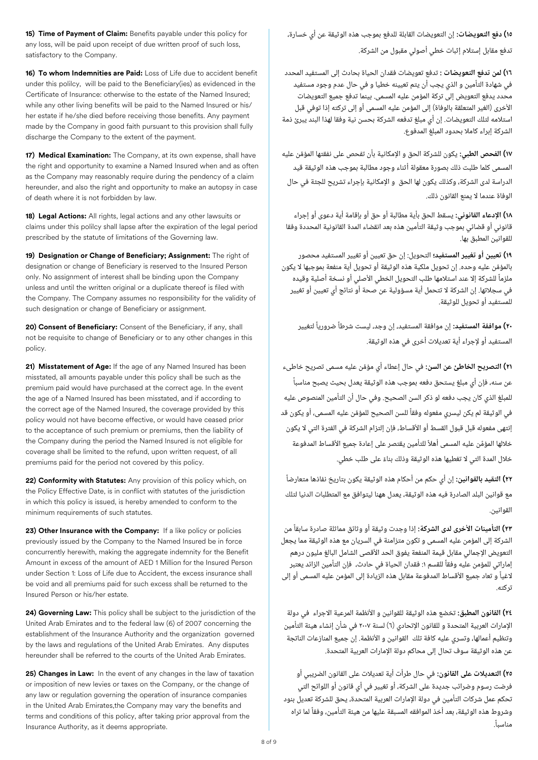**15) Time of Payment of Claim:** Benefits payable under this policy for any loss, will be paid upon receipt of due written proof of such loss, satisfactory to the Company.

**16) To whom Indemnities are Paid:** Loss of Life due to accident benefit under this polilcy, will be paid to the Beneficiary(ies) as evidenced in the Certificate of Insurance: otherwise to the estate of the Named Insured; while any other living benefits will be paid to the Named Insured or his/ her estate if he/she died before receiving those benefits. Any payment made by the Company in good faith pursuant to this provision shall fully discharge the Company to the extent of the payment.

**17) Medical Examination:** The Company, at its own expense, shall have the right and opportunity to examine a Named Insured when and as often as the Company may reasonably require during the pendency of a claim hereunder, and also the right and opportunity to make an autopsy in case of death where it is not forbidden by law.

**18) Legal Actions:** All rights, legal actions and any other lawsuits or claims under this polilcy shall lapse after the expiration of the legal period prescribed by the statute of limitations of the Governing law.

**19) Designation or Change of Beneficiary; Assignment:** The right of designation or change of Beneficiary is reserved to the Insured Person only. No assignment of interest shall be binding upon the Company unless and until the written original or a duplicate thereof is filed with the Company. The Company assumes no responsibility for the validity of such designation or change of Beneficiary or assignment.

20) Consent of Beneficiary: Consent of the Beneficiary, if any, shall not be requisite to change of Beneficiary or to any other changes in this policy.

**21) Misstatement of Age:** If the age of any Named Insured has been misstated, all amounts payable under this policy shall be such as the premium paid would have purchased at the correct age. In the event the age of a Named Insured has been misstated, and if according to the correct age of the Named Insured, the coverage provided by this policy would not have become effective, or would have ceased prior to the acceptance of such premium or premiums, then the liability of the Company during the period the Named Insured is not eligible for coverage shall be limited to the refund, upon written request, of all premiums paid for the period not covered by this policy.

**22) Conformity with Statutes:** Any provision of this policy which, on the Policy Effective Date, is in conflict with statutes of the jurisdiction in which this policy is issued, is hereby amended to conform to the minimum requirements of such statutes.

23) Other Insurance with the Company: If a like policy or policies previously issued by the Company to the Named Insured be in force concurrently herewith, making the aggregate indemnity for the Benefit Amount in excess of the amount of AED 1 Million for the Insured Person under Section 1: Loss of Life due to Accident, the excess insurance shall be void and all premiums paid for such excess shall be returned to the Insured Person or his/her estate.

**24) Governing Law:** This policy shall be subject to the jurisdiction of the United Arab Emirates and to the federal law (6) of 2007 concerning the establishment of the Insurance Authority and the organization governed by the laws and regulations of the United Arab Emirates. Any disputes hereunder shall be referred to the courts of the United Arab Emirates.

**25) Changes in Law:** In the event of any changes in the law of taxation or imposition of new levies or taxes on the Company, or the change of any law or regulation governing the operation of insurance companies in the United Arab Emirates,the Company may vary the benefits and terms and conditions of this policy, after taking prior approval from the Insurance Authority, as it deems appropriate.

**1٥) دفع التعويضات:** إن التعويضات القابلة للدفع بموجب هذه الوثيقة عن أي خسارة،

تدفع مقابل إستالم إثبات خطي أصولي مقبول من الشركة.

**1٦) لمن تدفع التعويضات :** تدفع تعويضات فقدان الحياة بحادث إلى المستفيد المحدد في شهادة التأمين و الذي يجب أن يتم تعيينه خطيا و في حال عدم وجود مستفيد محدد يدفع التعويض إلى تركة المؤمن عليه المسمى. بينما تدفع جميع التعويضات األخرى (الغير المتعلقة بالوفاة) إلى المؤمن عليه المسمى أو إلى تركته إذا توفي قبل استالمه لتلك التعويضات. إن أي مبلغ تدفعه الشركة بحسن نية وفقا لهذا البند يبرئ ذمة الشركة إبراء كامال بحدود المبلغ المدفوع.

**1٧) الفحص الطبي:** يكون للشركة الحق و اإلمكانية بأن تفحص على نفقتها المؤمن عليه المسمى كلما طلبت ذلك بصورة معقولة أثناء وجود مطالبة بموجب هذه الوثيقة قيد الدراسة لدى الشركة، وكذلك يكون لها الحق و اإلمكانية بإجراء تشريح للجثة في حال الوفاة عندما ال يمنع القانون ذلك. َّ

**18) اإلدعاء القانوني:** يسقط الحق بأية مطالبة أو حق أو بإقامة أية دعوى أو إجراء قانوني أو قضائي بموجب وثيقة التأمين هذه بعد انقضاء المدة القانونية المحددة وفقا للقوانين المطبق بها.

**19) تعيين أو تغيير المستفيد؛** التحويل: إن حق تعيين أو تغيير المستفيد محصور بالمؤمن عليه وحده. إن تحويل ملكية هذه الوثيقة أو تحويل أية منفعة بموجبها ال يكون ملزماً للشركة إلا عند استلامها طلب التحويل الخطي الأصلي أو نسخة أصلية وقيده في سجالتها. إن الشركة ال تتحمل أية مسؤولية عن صحة أو نتائج أي تعيين أو تغيير للمستفيد أو تحويل للوثيقة. ؚ<br>ٌ ً

**20) موافقة المستفيد:** إن موافقة المستفيد، إن وجد، ليست شرطا ضروريا لتغيير ً ً المستفيد أو إلجراء أية تعديالت أخرى في هذه الوثيقة.

**21) التصريح الخاطئ عن السن:** في حال إعطاء أي مؤمن عليه مسمى تصريح خاطىء عن سنه، فإن أي مبلغ يستحق دفعه بموجب هذه الوثيقة يعدل بحيث يصبح مناسبا للمبلغ الذي كان يجب دفعه لو ذكر السن الصحيح. وفي حال أن التأمين المنصوص عليه في الوثيقة لم يكن ليسري مفعوله وفقا للسن الصحيح للمؤمن عليه المسمى، أو يكون قد َّ ً إنتهى مفعوله قبل قبول القسط أو األقساط، فإن إلتزام الشركة في الفترة التي ال يكون خلالها المؤمَّن عليه المسمى أهلاً للتأمين يقتصر على إعادة جميع الأقساط المدفوعة خلال المدة التي لا تغطيها هذه الوثيقة وذلك بناءً على طلب خطي. َّ ً ً

**22) التقيد بالقوانين:** إن أي حكم من أحكام هذه الوثيقة يكون بتاريخ نفاذها متعارضا مع قوانين البلد الصادرة فيه هذه الوثيقة، يعدل ههنا ليتوافق مع المتطلبات الدنيا لتلك القوانين. ً

ً **23) التأمينات األخرى لدى الشركة:** إذا وجدت وثيقة أو وثائق مماثلة صادرة سابقا من ً ً الشركة إلى المؤمن عليه المسمى و تكون متزامنة في السريان مع هذه الوثيقة مما يجعل التعويض الإجمالى مقابل قيمة المنفعة يفوق الحد الأقصى الشامل البالغ مليون درهم إماراتي للمؤمن عليه وفقا للقسم :1 فقدان الحياة في حادث، فإن التأمين الزائد يعتبر الغيا و تعاد جميع األقساط المدفوعة مقابل هذه الزيادة إلى المؤمن عليه المسمى أو إلى تركته.

**2٤) القانون المطبق:** تخضع هذه الوثيقة للقوانين و األنظمة المرعية االجراء في دولة اإلمارات العربية المتحدة و للقانون اإلتحادي (6) لسنة 2007 في شأن إنشاء هيئة التأمين وتنظيم أعمالها، وتسري عليه كافة تلك القوانين و الأنظمة. إن جميع المنازعات الناتجة عن هذه الوثيقة سوف تحال إلى محاكم دولة اإلمارات العربية المتحدة.

**2٥) التعديالت على القانون:** في حال طرأت أية تعديالت على القانون الضريبي أو فرضت رسوم وضرائب جديدة على الشركة، أو تغيير في أي قانون أو اللوائح التي تحكم عمل شركات التأمين في دولة اإلمارات العربية المتحدة، يحق للشركة تعديل بنود وشروط هذه الوثيقة، بعد أخذ الموافقه المسبقة عليها من هيئة التأمين، وفقا لما تراه مناسبا. ً ً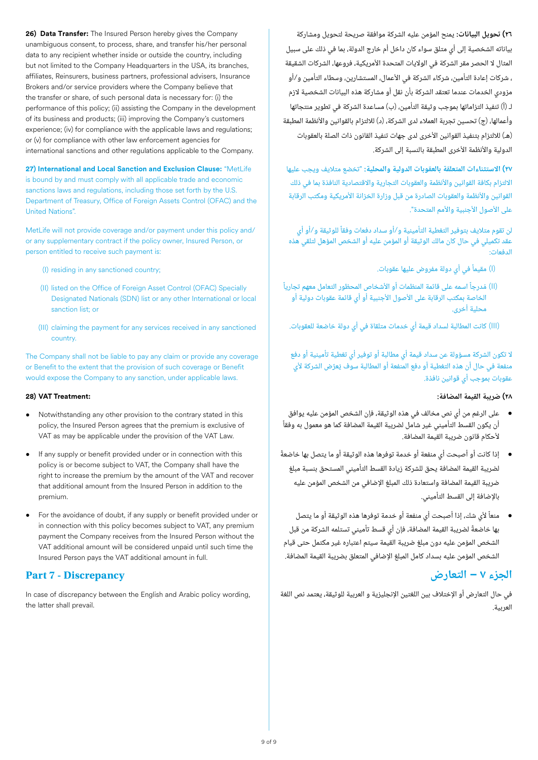**26) Data Transfer:** The Insured Person hereby gives the Company unambiguous consent, to process, share, and transfer his/her personal data to any recipient whether inside or outside the country, including but not limited to the Company Headquarters in the USA, its branches, affiliates, Reinsurers, business partners, professional advisers, Insurance Brokers and/or service providers where the Company believe that the transfer or share, of such personal data is necessary for: (i) the performance of this policy; (ii) assisting the Company in the development of its business and products; (iii) improving the Company's customers experience; (iv) for compliance with the applicable laws and regulations; or (v) for compliance with other law enforcement agencies for international sanctions and other regulations applicable to the Company.

**27) International and Local Sanction and Exclusion Clause:** "MetLife is bound by and must comply with all applicable trade and economic sanctions laws and regulations, including those set forth by the U.S. Department of Treasury, Office of Foreign Assets Control (OFAC) and the United Nations".

MetLife will not provide coverage and/or payment under this policy and/ or any supplementary contract if the policy owner, Insured Person, or person entitled to receive such payment is:

- (I) residing in any sanctioned country;
- (II) listed on the Office of Foreign Asset Control (OFAC) Specially Designated Nationals (SDN) list or any other International or local sanction list; or
- (III) claiming the payment for any services received in any sanctioned country.

The Company shall not be liable to pay any claim or provide any coverage or Benefit to the extent that the provision of such coverage or Benefit would expose the Company to any sanction, under applicable laws.

### **28) VAT Treatment:**

- Notwithstanding any other provision to the contrary stated in this policy, the Insured Person agrees that the premium is exclusive of VAT as may be applicable under the provision of the VAT Law.
- If any supply or benefit provided under or in connection with this policy is or become subject to VAT, the Company shall have the right to increase the premium by the amount of the VAT and recover that additional amount from the Insured Person in addition to the premium.
- For the avoidance of doubt, if any supply or benefit provided under or in connection with this policy becomes subject to VAT, any premium payment the Company receives from the Insured Person without the VAT additional amount will be considered unpaid until such time the Insured Person pays the VAT additional amount in full.

# **Part 7 - Discrepancy**

In case of discrepancy between the English and Arabic policy wording, the latter shall prevail.

**2٦) تحويل البيانات:** يمنح المؤمن عليه الشركة موافقة صريحة لتحويل ومشاركة بياناته الشخصية إلى أي متلق سواء كان داخل أم خارج الدولة، بما في ذلك على سبيل المثال لا الحصر مقر الشركة في الولايات المتحدة الأمريكية، فروعها، الشركات الشقيقة ، شركات إعادة التأمين، شركاء الشركة في الأعمال، المستشارين، وسطاء التأمين و/أو مزودي الخدمات عندما تعتقد الشركة بأن نقل أو مشاركة هذه البيانات الشخصية الزم لـ (أ) تنفيذ التزاماتها بموجب وثيقة التأمين، (ب) مساعدة الشركة في تطوير منتجاتها وأعمالها، (ج) تحسين تجربة العمالء لدى الشركة، (د) لاللتزام بالقوانين واألنظمة المطبقة (هـ) للالتزام بتنفيذ القوانين الأخرى لدى جهات تنفيذ القانون ذات الصلة بالعقوبات الدولية والأنظمة الأخرى المطبقة بالنسبة إلى الشركة.

**2٧) االستثناءات المتعلقة بالعقوبات الدولية والمحلية:** "تخضع متاليف ويجب عليها الالتزام بكافة القوانين والأنظمة والعقوبات التجارية والاقتصادية النافذة بما في ذلك القوانين والأنظمة والعقوبات الصادرة من قبل وزارة الخزانة الأمريكية ومكتب الرقابة على الأصول الأجنبية والأمم المتحدة".

لن تقوم متاليف بتوفير التغطية التأمينية و/أو سداد دفعات وفقا للوثيقة و/أو أي عقد تكميلي في حال كان مالك الوثيقة أو المؤمن عليه أو الشخص المؤهل لتلقي هذه الدفعات:

- ً(I (مقيما في أي دولة مفروض عليها عقوبات.
- (II) مُدرجاً اسمه على قائمة المنظمات أو الأشخاص المحظور التعامل معهم تجارياً الخاصة بمكتب الرقابة على الأصول الأجنبية أو أي قائمة عقوبات دولية أو محلية أخرى.

(III (كانت المطالبة لسداد قيمة أي خدمات متلقاة في أي دولة خاضعة للعقوبات.

ال تكون الشركة مسؤولة عن سداد قيمة أي مطالبة أو توفير أي تغطية تأمينية أو دفع منفعة في حال ان هذه التغطية او دفع المنفعة او المطالبة سوف يُعرَّض الشركة لأي عقوبات بموجب أي قوانين نافذة.

# **28) ضريبة القيمة المضافة:**

- على الرغم من أي نص مخالف في هذه الوثيقة، فإن الشخص المؤمن عليه يوافق أن يكون القسط التأميني غير شامل لضريبة القيمة المضافة كما هو معمول به وفقا ألحكام قانون ضريبة القيمة المضافة. ً
- إذا كانت أو أصبحت أي منفعة أو خدمة توفرها هذه الوثيقة أو ما يتصل بها خاضعة لضريبة القيمة المضافة يحق للشركة زيادة القسط التأميني المستحق بنسبة مبلغ ضريبة القيمة المضافة واستعادة ذلك المبلغ اإلضافي من الشخص المؤمن عليه باإلضافة إلى القسط التأميني. ً
- منعا ألي شك، إذا أصبحت أي منفعة أو خدمة توفرها هذه الوثيقة أو ما يتصل بها خاضعة لضريبة القيمة المضافة، فإن أي قسط تأميني تستلمه الشركة من قبل الشخص المؤمن عليه دون مبلغ ضريبة القيمة سيتم اعتباره غير مكتمل حتى قيام الشخص المؤمن عليه بسداد كامل المبلغ اإلضافي المتعلق بضريبة القيمة المضافة. ً ֧֖֖֖֖֖֚֚֚֚֚֚֚֚֝֝֬<br>֧֪֪֝֝**֓**

# **الجزء ٧ – التعارض**

في حال التعارض أو اإلختالف بين اللغتين اإلنجليزية و العربية للوثيقة، يعتمد نص اللغة العربية.